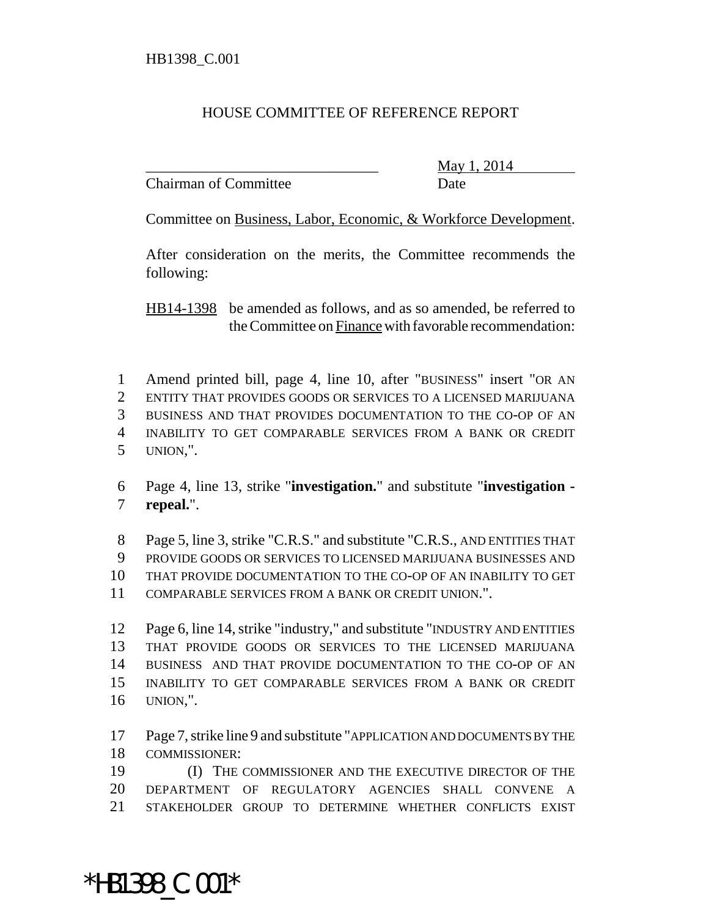## HOUSE COMMITTEE OF REFERENCE REPORT

Chairman of Committee Date

\_\_\_\_\_\_\_\_\_\_\_\_\_\_\_\_\_\_\_\_\_\_\_\_\_\_\_\_\_\_\_ May 1, 2014

Committee on Business, Labor, Economic, & Workforce Development.

After consideration on the merits, the Committee recommends the following:

HB14-1398 be amended as follows, and as so amended, be referred to the Committee on Finance with favorable recommendation:

 Amend printed bill, page 4, line 10, after "BUSINESS" insert "OR AN ENTITY THAT PROVIDES GOODS OR SERVICES TO A LICENSED MARIJUANA BUSINESS AND THAT PROVIDES DOCUMENTATION TO THE CO-OP OF AN INABILITY TO GET COMPARABLE SERVICES FROM A BANK OR CREDIT UNION,".

 Page 4, line 13, strike "**investigation.**" and substitute "**investigation - repeal.**".

 Page 5, line 3, strike "C.R.S." and substitute "C.R.S., AND ENTITIES THAT PROVIDE GOODS OR SERVICES TO LICENSED MARIJUANA BUSINESSES AND THAT PROVIDE DOCUMENTATION TO THE CO-OP OF AN INABILITY TO GET COMPARABLE SERVICES FROM A BANK OR CREDIT UNION.".

 Page 6, line 14, strike "industry," and substitute "INDUSTRY AND ENTITIES THAT PROVIDE GOODS OR SERVICES TO THE LICENSED MARIJUANA BUSINESS AND THAT PROVIDE DOCUMENTATION TO THE CO-OP OF AN INABILITY TO GET COMPARABLE SERVICES FROM A BANK OR CREDIT UNION,".

 Page 7, strike line 9 and substitute "APPLICATION AND DOCUMENTS BY THE COMMISSIONER:

 (I) THE COMMISSIONER AND THE EXECUTIVE DIRECTOR OF THE DEPARTMENT OF REGULATORY AGENCIES SHALL CONVENE A STAKEHOLDER GROUP TO DETERMINE WHETHER CONFLICTS EXIST

\*HB1398\_C.001\*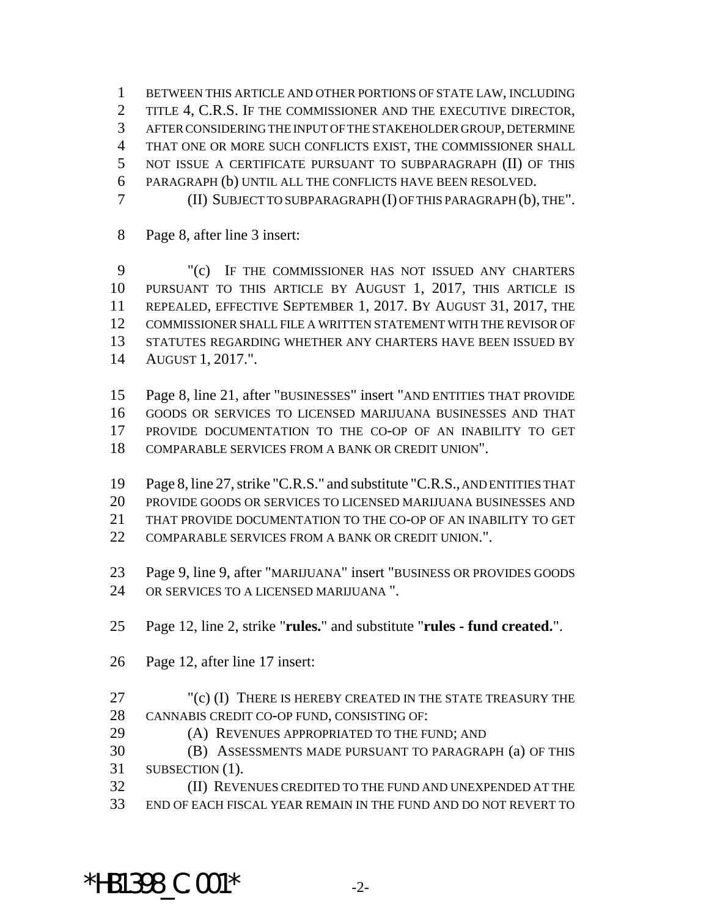BETWEEN THIS ARTICLE AND OTHER PORTIONS OF STATE LAW, INCLUDING 2 TITLE 4, C.R.S. IF THE COMMISSIONER AND THE EXECUTIVE DIRECTOR, AFTER CONSIDERING THE INPUT OF THE STAKEHOLDER GROUP, DETERMINE THAT ONE OR MORE SUCH CONFLICTS EXIST, THE COMMISSIONER SHALL NOT ISSUE A CERTIFICATE PURSUANT TO SUBPARAGRAPH (II) OF THIS PARAGRAPH (b) UNTIL ALL THE CONFLICTS HAVE BEEN RESOLVED. (II) SUBJECT TO SUBPARAGRAPH (I) OF THIS PARAGRAPH (b), THE".

Page 8, after line 3 insert:

 "(c) IF THE COMMISSIONER HAS NOT ISSUED ANY CHARTERS PURSUANT TO THIS ARTICLE BY AUGUST 1, 2017, THIS ARTICLE IS REPEALED, EFFECTIVE SEPTEMBER 1, 2017. BY AUGUST 31, 2017, THE COMMISSIONER SHALL FILE A WRITTEN STATEMENT WITH THE REVISOR OF STATUTES REGARDING WHETHER ANY CHARTERS HAVE BEEN ISSUED BY AUGUST 1, 2017.".

 Page 8, line 21, after "BUSINESSES" insert "AND ENTITIES THAT PROVIDE GOODS OR SERVICES TO LICENSED MARIJUANA BUSINESSES AND THAT PROVIDE DOCUMENTATION TO THE CO-OP OF AN INABILITY TO GET COMPARABLE SERVICES FROM A BANK OR CREDIT UNION".

 Page 8, line 27, strike "C.R.S." and substitute "C.R.S., AND ENTITIES THAT PROVIDE GOODS OR SERVICES TO LICENSED MARIJUANA BUSINESSES AND THAT PROVIDE DOCUMENTATION TO THE CO-OP OF AN INABILITY TO GET COMPARABLE SERVICES FROM A BANK OR CREDIT UNION.".

 Page 9, line 9, after "MARIJUANA" insert "BUSINESS OR PROVIDES GOODS OR SERVICES TO A LICENSED MARIJUANA ".

Page 12, line 2, strike "**rules.**" and substitute "**rules - fund created.**".

- Page 12, after line 17 insert:
- "(c) (I) THERE IS HEREBY CREATED IN THE STATE TREASURY THE CANNABIS CREDIT CO-OP FUND, CONSISTING OF:
- (A) REVENUES APPROPRIATED TO THE FUND; AND

 (B) ASSESSMENTS MADE PURSUANT TO PARAGRAPH (a) OF THIS 31 SUBSECTION (1).

 (II) REVENUES CREDITED TO THE FUND AND UNEXPENDED AT THE END OF EACH FISCAL YEAR REMAIN IN THE FUND AND DO NOT REVERT TO

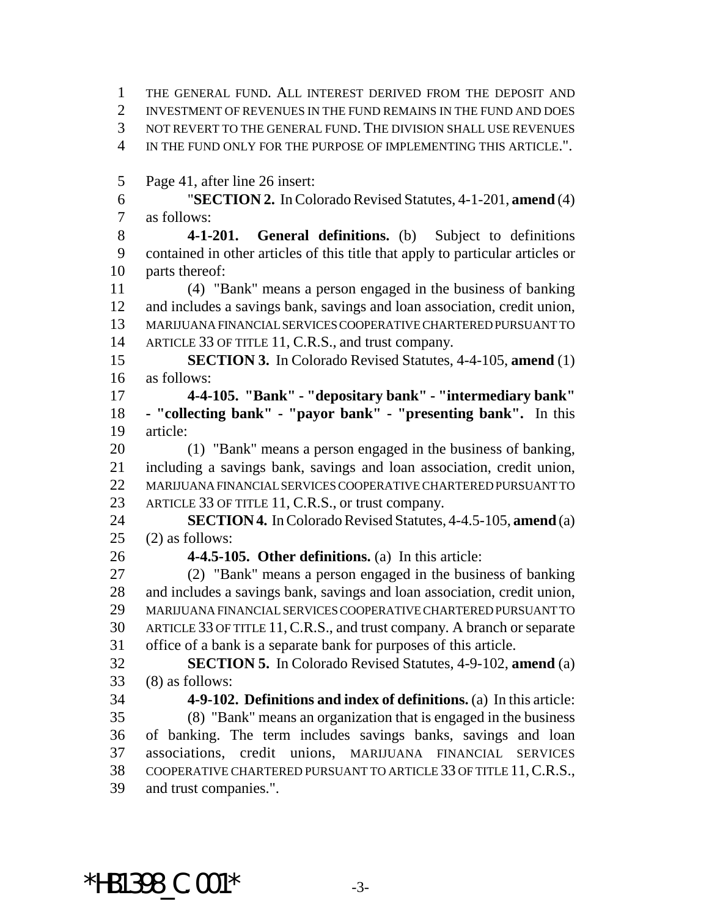THE GENERAL FUND. ALL INTEREST DERIVED FROM THE DEPOSIT AND INVESTMENT OF REVENUES IN THE FUND REMAINS IN THE FUND AND DOES NOT REVERT TO THE GENERAL FUND. THE DIVISION SHALL USE REVENUES IN THE FUND ONLY FOR THE PURPOSE OF IMPLEMENTING THIS ARTICLE.".

Page 41, after line 26 insert:

 "**SECTION 2.** In Colorado Revised Statutes, 4-1-201, **amend** (4) as follows:

 **4-1-201. General definitions.** (b) Subject to definitions contained in other articles of this title that apply to particular articles or parts thereof:

 (4) "Bank" means a person engaged in the business of banking and includes a savings bank, savings and loan association, credit union, MARIJUANA FINANCIAL SERVICES COOPERATIVE CHARTERED PURSUANT TO 14 ARTICLE 33 OF TITLE 11, C.R.S., and trust company.

 **SECTION 3.** In Colorado Revised Statutes, 4-4-105, **amend** (1) as follows:

 **4-4-105. "Bank" - "depositary bank" - "intermediary bank" - "collecting bank" - "payor bank" - "presenting bank".** In this article:

 (1) "Bank" means a person engaged in the business of banking, including a savings bank, savings and loan association, credit union, MARIJUANA FINANCIAL SERVICES COOPERATIVE CHARTERED PURSUANT TO ARTICLE 33 OF TITLE 11, C.R.S., or trust company.

 **SECTION 4.** In Colorado Revised Statutes, 4-4.5-105, **amend** (a) (2) as follows:

**4-4.5-105. Other definitions.** (a) In this article:

 (2) "Bank" means a person engaged in the business of banking and includes a savings bank, savings and loan association, credit union, MARIJUANA FINANCIAL SERVICES COOPERATIVE CHARTERED PURSUANT TO ARTICLE 33 OF TITLE 11,C.R.S., and trust company. A branch or separate office of a bank is a separate bank for purposes of this article.

 **SECTION 5.** In Colorado Revised Statutes, 4-9-102, **amend** (a) (8) as follows:

 **4-9-102. Definitions and index of definitions.** (a) In this article: (8) "Bank" means an organization that is engaged in the business of banking. The term includes savings banks, savings and loan associations, credit unions, MARIJUANA FINANCIAL SERVICES COOPERATIVE CHARTERED PURSUANT TO ARTICLE 33 OF TITLE 11,C.R.S., and trust companies.".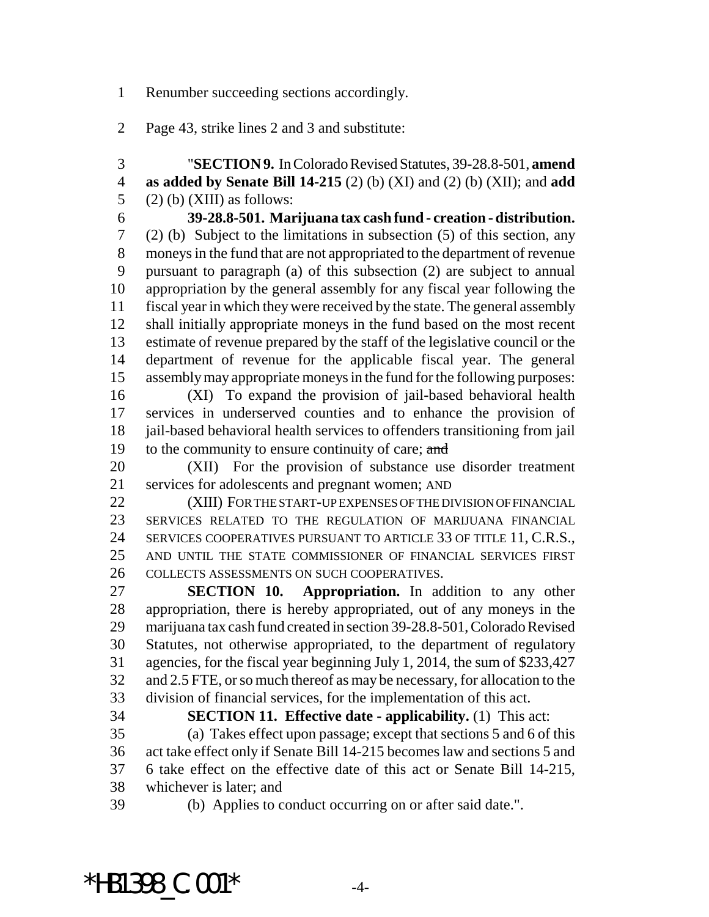Renumber succeeding sections accordingly.

Page 43, strike lines 2 and 3 and substitute:

 "**SECTION 9.** In Colorado Revised Statutes, 39-28.8-501, **amend as added by Senate Bill 14-215** (2) (b) (XI) and (2) (b) (XII); and **add** 5 (2) (b) (XIII) as follows:

 **39-28.8-501. Marijuana tax cash fund - creation - distribution.** (2) (b) Subject to the limitations in subsection (5) of this section, any moneys in the fund that are not appropriated to the department of revenue pursuant to paragraph (a) of this subsection (2) are subject to annual appropriation by the general assembly for any fiscal year following the fiscal year in which they were received by the state. The general assembly shall initially appropriate moneys in the fund based on the most recent estimate of revenue prepared by the staff of the legislative council or the department of revenue for the applicable fiscal year. The general assembly may appropriate moneys in the fund for the following purposes: (XI) To expand the provision of jail-based behavioral health services in underserved counties and to enhance the provision of

 jail-based behavioral health services to offenders transitioning from jail 19 to the community to ensure continuity of care; and

 (XII) For the provision of substance use disorder treatment services for adolescents and pregnant women; AND

 (XIII) FOR THE START-UP EXPENSES OF THE DIVISION OF FINANCIAL SERVICES RELATED TO THE REGULATION OF MARIJUANA FINANCIAL SERVICES COOPERATIVES PURSUANT TO ARTICLE 33 OF TITLE 11, C.R.S., AND UNTIL THE STATE COMMISSIONER OF FINANCIAL SERVICES FIRST COLLECTS ASSESSMENTS ON SUCH COOPERATIVES.

 **SECTION 10. Appropriation.** In addition to any other appropriation, there is hereby appropriated, out of any moneys in the marijuana tax cash fund created in section 39-28.8-501, Colorado Revised Statutes, not otherwise appropriated, to the department of regulatory agencies, for the fiscal year beginning July 1, 2014, the sum of \$233,427 and 2.5 FTE, or so much thereof as may be necessary, for allocation to the division of financial services, for the implementation of this act.

 **SECTION 11. Effective date - applicability.** (1) This act: (a) Takes effect upon passage; except that sections 5 and 6 of this act take effect only if Senate Bill 14-215 becomes law and sections 5 and 6 take effect on the effective date of this act or Senate Bill 14-215, whichever is later; and

(b) Applies to conduct occurring on or after said date.".